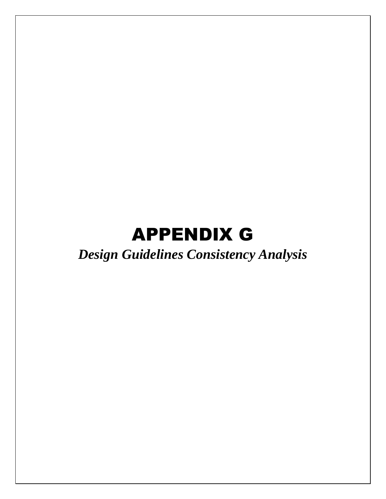# APPENDIX G

## *Design Guidelines Consistency Analysis*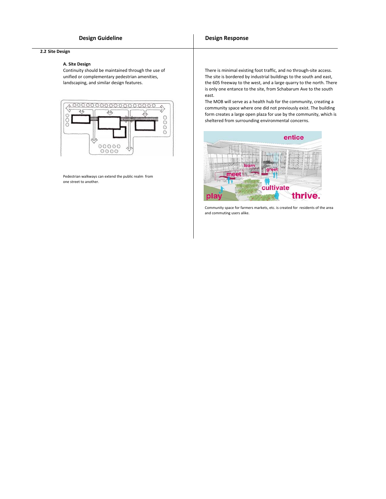#### **2.2 Site Design**

#### **A. Site Design**

Continuity should be maintained through the use of unified or complementary pedestrian amenities, landscaping, and similar design features.



Pedestrian walkways can extend the public realm from one street to another.

There is minimal existing foot traffic, and no through‐site access. The site is bordered by industrial buildings to the south and east, the 605 freeway to the west, and a large quarry to the north. There is only one entance to the site, from Schabarum Ave to the south east.

The MOB will serve as a health hub for the community, creating a community space where one did not previously exist. The building form creates a large open plaza for use by the community, which is sheltered from surrounding environmental concerns.



Community space for farmers markets, etc. is created for residents of the area and commuting users alike.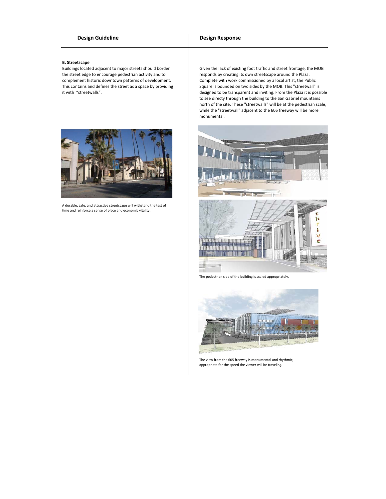#### **B. Streetscape**

Buildings located adjacent to major streets should border the street edge to encourage pedestrian activity and to complement historic downtown patterns of development. This contains and defines the street as a space by providing it with "streetwalls".



A durable, safe, and attractive streetscape will withstand the test of time and reinforce a sense of place and economic vitality.

Given the lack of existing foot traffic and street frontage, the MOB responds by creating its own streetscape around the Plaza. Complete with work commissioned by a local artist, the Public Square is bounded on two sides by the MOB. This "streetwall" is designed to be transparent and inviting. From the Plaza it is possible to see directy through the building to the San Gabriel mountains north of the site. These "streetwalls" will be at the pedestrian scale, while the "streetwall" adjacent to the 605 freeway will be more monumental.



The pedestrian side of the building is scaled appropriately.



The view from the 605 freeway is monumental and rhythmic, appropriate for the speed the viewer will be traveling.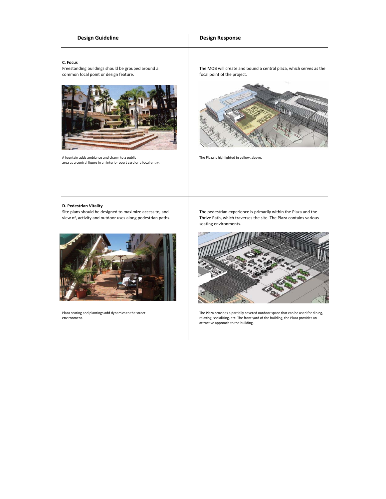### **Design Guideline Constanting Constanting Constanting Design Response**

#### **C. Focus**

Freestanding buildings should be grouped around a common focal point or design feature.



A fountain adds ambiance and charm to a public area as a central figure in an interior court yard or a focal entry. The MOB will create and bound a central plaza, which serves as the focal point of the project.



The Plaza is highlighted in yellow, above.

#### **D. Pedestrian Vitality**

Site plans should be designed to maximize access to, and view of, activity and outdoor uses along pedestrian paths.



Plaza seating and plantings add dynamics to the street environment.

The pedestrian experience is primarily within the Plaza and the Thrive Path, which traverses the site. The Plaza contains various seating environments.



The Plaza provides a partially covered outdoor space that can be used for dining, relaxing, socializing, etc. The front yard of the building, the Plaza provides an attractive approach to the building.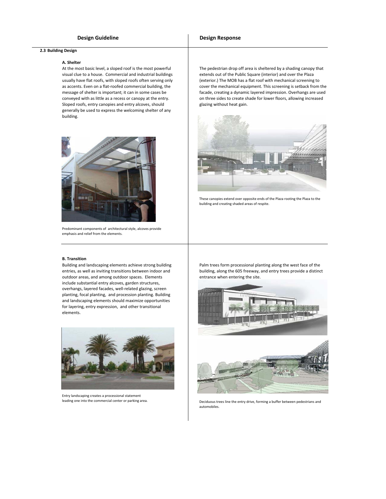#### **A. Shelter**

At the most basic level, a sloped roof is the most powerful visual clue to a house. Commercial and industrial buildings usually have flat roofs, with sloped roofs often serving only as accents. Even on a flat-roofed commercial building, the message of shelter is important; it can in some cases be conveyed with as little as a recess or canopy at the entry. Sloped roofs, entry canopies and entry alcoves, should generally be used to express the welcoming shelter of any building.



Predominant components of architectural style, alcoves provide emphasis and relief from the elements.

The pedestrian drop off area is sheltered by a shading canopy that extends out of the Public Square (interior) and over the Plaza (exterior.) The MOB has a flat roof with mechanical screening to cover the mechanical equipment. This screening is setback from the facade, creating a dynamic layered impression. Overhangs are used on three sides to create shade for lower floors, allowing increased glazing without heat gain.



These canopies extend over opposite ends of the Plaza rooting the Plaza to the building and creating shaded areas of respite.

#### **B. Transition**

Building and landscaping elements achieve strong building entries, as well as inviting transitions between indoor and outdoor areas, and among outdoor spaces. Elements include substantial entry alcoves, garden structures, overhangs, layered facades, well‐related glazing, screen planting, focal planting, and procession planting. Building and landscaping elements should maximize opportunities for layering, entry expression, and other transitional elements.



Entry landscaping creates a processional statement leading one into the commercial center or parking area.

Palm trees form processional planting along the west face of the building, along the 605 freeway, and entry trees provide a distinct entrance when entering the site.





Deciduous trees line the entry drive, forming a buffer between pedestrians and automobiles.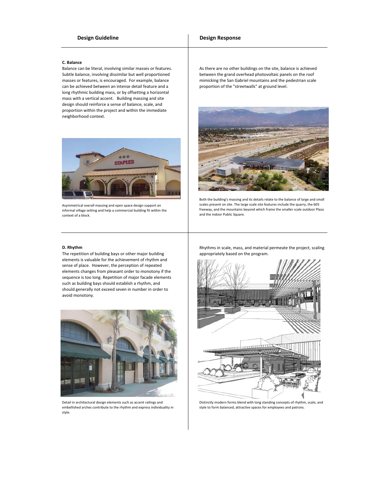#### **Design Guideline Constanting Constanting Constanting Design Response**

#### **C. Balance**

Balance can be literal, involving similar masses or features. Subtle balance, involving dissimilar but well proportioned masses or features, is encouraged. For example, balance can be achieved between an intense detail feature and a long rhythmic building mass, or by offsetting a horizontal mass with a vertical accent. Building massing and site design should reinforce a sense of balance, scale, and proportion within the project and within the immediate neighborhood context.



Asymmetrical overall massing and open space design support an informal village setting and help a commercial building fit within the context of a block.

#### **D. Rhythm**

The repetition of building bays or other major building elements is valuable for the achievement of rhythm and sense of place. However, the perception of repeated elements changes from pleasant order to monotony if the sequence is too long. Repetition of major facade elements such as building bays should establish a rhythm, and should generally not exceed seven in number in order to avoid monotony.



Detail in architectural design elements such as accent railings and embellished arches contribute to the rhythm and express individuality in style.

As there are no other buildings on the site, balance is achieved between the grand overhead photovoltaic panels on the roof mimicking the San Gabriel mountains and the pedestrian scale proportion of the "streetwalls" at ground level.



Both the building's massing and its details relate to the balance of large and small scales present on site. The large scale site features include the quarry, the 605 freeway, and the mountains beyond which frame the smaller scale outdoor Plaza and the indoor Public Square.

Rhythms in scale, mass, and material permeate the project, scaling appropriately based on the program.



Distinctly modern forms blend with long standing concepts of rhythm, scale, and style to form balanced, attractive spaces for employees and patrons.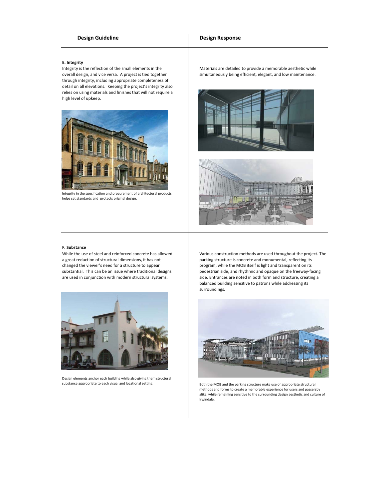#### **E. Integrity**

Integrity is the reflection of the small elements in the overall design, and vice versa. A project is tied together through integrity, including appropriate completeness of detail on all elevations. Keeping the project's integrity also relies on using materials and finishes that will not require a high level of upkeep.



Integrity in the specification and procurement of architectural products helps set standards and protects original design.

Materials are detailed to provide a memorable aesthetic while simultaneously being efficient, elegant, and low maintenance.





#### **F. Substance**

While the use of steel and reinforced concrete has allowed a great reduction of structural dimensions, it has not changed the viewer's need for a structure to appear substantial. This can be an issue where traditional designs are used in conjunction with modern structural systems.



Design elements anchor each building while also giving them structural

Various construction methods are used throughout the project. The parking structure is concrete and monumental, reflecting its program, while the MOB itself is light and transparent on its pedestrian side, and rhythmic and opaque on the freeway‐facing side. Entrances are noted in both form and structure, creating a balanced building sensitive to patrons while addressing its surroundings.



substance appropriate to each visual and locational setting. Both the MOB and the parking structure make use of appropriate structural methods and forms to create a memorable experience for users and passersby alike, while remaining sensitive to the surrounding design aesthetic and culture of Irwindale.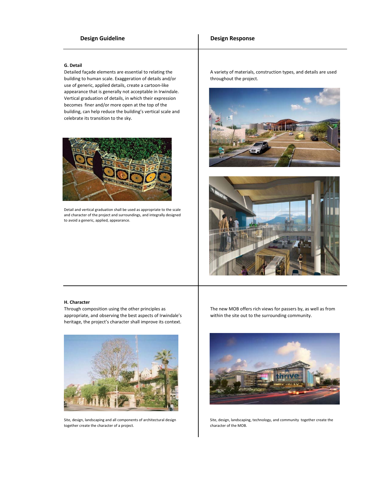#### **G. Detail**

Detailed façade elements are essential to relating the building to human scale. Exaggeration of details and/or use of generic, applied details, create a cartoon‐like appearance that is generally not acceptable in Irwindale. Vertical graduation of details, in which their expression becomes finer and/or more open at the top of the building, can help reduce the building's vertical scale and celebrate its transition to the sky.



Detail and vertical graduation shall be used as appropriate to the scale and character of the project and surroundings, and integrally designed to avoid a generic, applied, appearance.

A variety of materials, construction types, and details are used throughout the project.





#### **H. Character**

Through composition using the other principles as appropriate, and observing the best aspects of Irwindale's heritage, the project's character shall improve its context.



Site, design, landscaping and all components of architectural design together create the character of a project.

The new MOB offers rich views for passers by, as well as from within the site out to the surrounding community.



Site, design, landscaping, technology, and community together create the character of the MOB.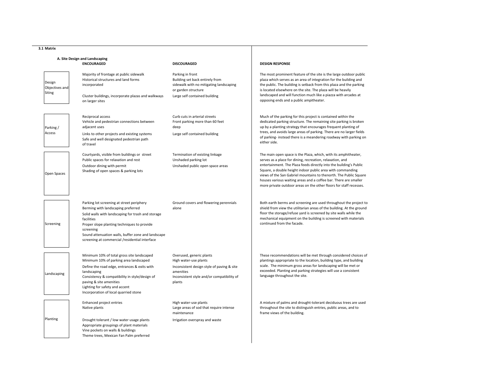| 3.1 Matrix                                          |                                                                                                                                                                                                                                                                                                                         |                                                                                                                                                                      |                                                                                                                                                                                                                                                                                                                                                                                                                                                                                 |
|-----------------------------------------------------|-------------------------------------------------------------------------------------------------------------------------------------------------------------------------------------------------------------------------------------------------------------------------------------------------------------------------|----------------------------------------------------------------------------------------------------------------------------------------------------------------------|---------------------------------------------------------------------------------------------------------------------------------------------------------------------------------------------------------------------------------------------------------------------------------------------------------------------------------------------------------------------------------------------------------------------------------------------------------------------------------|
| A. Site Design and Landscaping<br><b>ENCOURAGED</b> |                                                                                                                                                                                                                                                                                                                         | <b>DISCOURAGED</b>                                                                                                                                                   | <b>DESIGN RESPONSE</b>                                                                                                                                                                                                                                                                                                                                                                                                                                                          |
| Design<br>Objectives and<br>Siting                  | Majority of frontage at public sidewalk<br>Historical structures and land forms<br>incorporated<br>Cluster buildings, incorporate plazas and walkways<br>on larger sites                                                                                                                                                | Parking in front<br>Building set back entirely from<br>sidewalk with no mitigating landscaping<br>or garden structure<br>Large self contained building               | The most prominent feature of the site is the large outdoor public<br>plaza which serves as an area of integration for the building and<br>the public. The building is setback from this plaza and the parking<br>is located elsewhere on the site. The plaza will be heavily<br>landscaped and will function much like a piazza with arcades at<br>opposing ends and a public ampitheater.                                                                                     |
| Parking /<br>Access                                 | Reciprocal access<br>Vehicle and pedestrian connections between<br>adjacent uses<br>Links to other projects and existing systems<br>Safe and well designated pedestrian path<br>of travel                                                                                                                               | Curb cuts in arterial streets<br>Front parking more than 60 feet<br>deep<br>Large self contained building                                                            | Much of the parking for this project is contained within the<br>dedicated parking structure. The remaining site parking is broken<br>up by a planting strategy that encourages frequent planting of<br>trees, and avoids large areas of parking. There are no larger fields<br>of parking- instead there is a meandering roadway with parking on<br>either side.                                                                                                                |
| Open Spaces                                         | Courtyards, visible from buildings or street<br>Public spaces for relaxation and rest<br>Outdoor dining with permit<br>Shading of open spaces & parking lots                                                                                                                                                            | Termination of existing linkage<br>Unshaded parking lot<br>Unshaded public open space areas                                                                          | The main open space is the Plaza, which, with its amphitheater,<br>serves as a place for dining, recreation, relaxation, and<br>entertainment. The Plaza feeds directly into the building's Public<br>Square, a double height indoor public area with commanding<br>views of the San Gabriel mountains to thenorth. The Public Square<br>houses various waiting areas and a coffee bar. There are smaller<br>more private outdoor areas on the other floors for staff recesses. |
| Screening                                           | Parking lot screening at street periphery<br>Berming with landscaping preferred<br>Solid walls with landscaping for trash and storage<br>facilities<br>Proper slope planting techniques to provide<br>screening<br>Sound attenuation walls, buffer zone and landscape<br>screening at commercial /residential interface | Ground covers and flowering perennials<br>alone                                                                                                                      | Both earth berms and screening are used throughout the project to<br>shield from view the utilitarian areas of the building. At the ground<br>floor the storage/refuse yard is screened by site walls while the<br>mechanical equipment on the building is screened with materials<br>continued from the facade.                                                                                                                                                                |
| Landscaping                                         | Minimum 10% of total gross site landscaped<br>Minimum 10% of parking area landscaped<br>Define the road edge, entrances & exits with<br>landscaping<br>Consistency & compatibility in style/design of<br>paving & site amenities<br>Lighting for safety and accent<br>Incorporation of local quarried stone             | Overused, generic plants<br>High water-use plants<br>Inconsistent design style of paving & site<br>amenities<br>Inconsistent style and/or compatibility of<br>plants | These recommendations will be met through considered choices of<br>plantings appropriate to the location, building type, and building<br>scale. The minimum gross areas for landscaping will be met or<br>exceeded. Planting and parking strategies will use a consistent<br>language throughout the site.                                                                                                                                                                      |
| Planting                                            | Enhanced project entries<br>Native plants<br>Drought tolerant / low water usage plants<br>Appropriate groupings of plant materials<br>Vine pockets on walls & buildings<br>Theme trees, Mexican Fan Palm preferred                                                                                                      | High water-use plants<br>Large areas of sod that require intense<br>maintenance<br>Irrigation overspray and waste                                                    | A mixture of palms and drought-tolerant deciduous trees are used<br>throughout the site to distinguish entries, public areas, and to<br>frame views of the building.                                                                                                                                                                                                                                                                                                            |